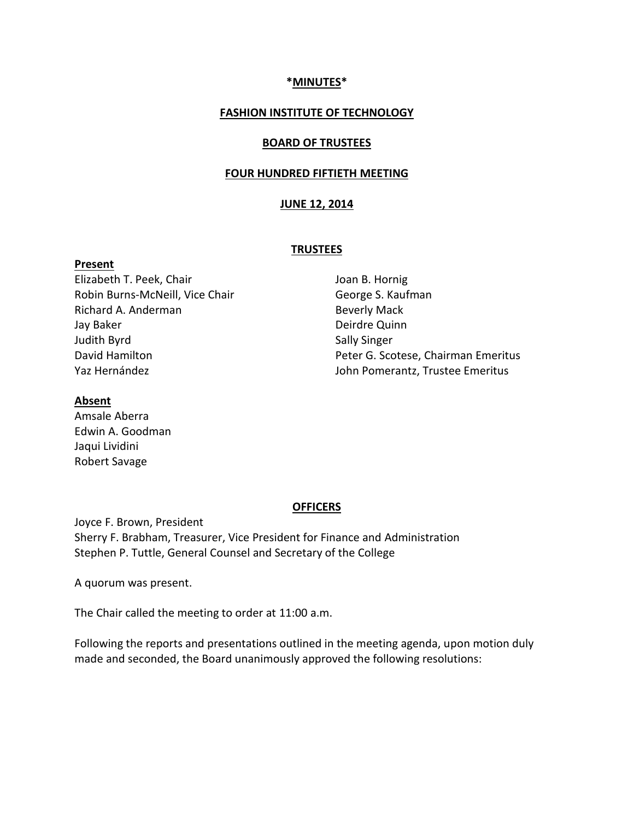#### **\*MINUTES\***

#### **FASHION INSTITUTE OF TECHNOLOGY**

#### **BOARD OF TRUSTEES**

#### **FOUR HUNDRED FIFTIETH MEETING**

#### **JUNE 12, 2014**

#### **TRUSTEES**

Elizabeth T. Peek, Chair Robin Burns-McNeill, Vice Chair Richard A. Anderman Jay Baker Judith Byrd David Hamilton Yaz Hernández

Joan B. Hornig George S. Kaufman Beverly Mack Deirdre Quinn Sally Singer Peter G. Scotese, Chairman Emeritus John Pomerantz, Trustee Emeritus

#### **Absent**

**Present**

Amsale Aberra Edwin A. Goodman Jaqui Lividini Robert Savage

#### **OFFICERS**

Joyce F. Brown, President Sherry F. Brabham, Treasurer, Vice President for Finance and Administration Stephen P. Tuttle, General Counsel and Secretary of the College

A quorum was present.

The Chair called the meeting to order at 11:00 a.m.

Following the reports and presentations outlined in the meeting agenda, upon motion duly made and seconded, the Board unanimously approved the following resolutions: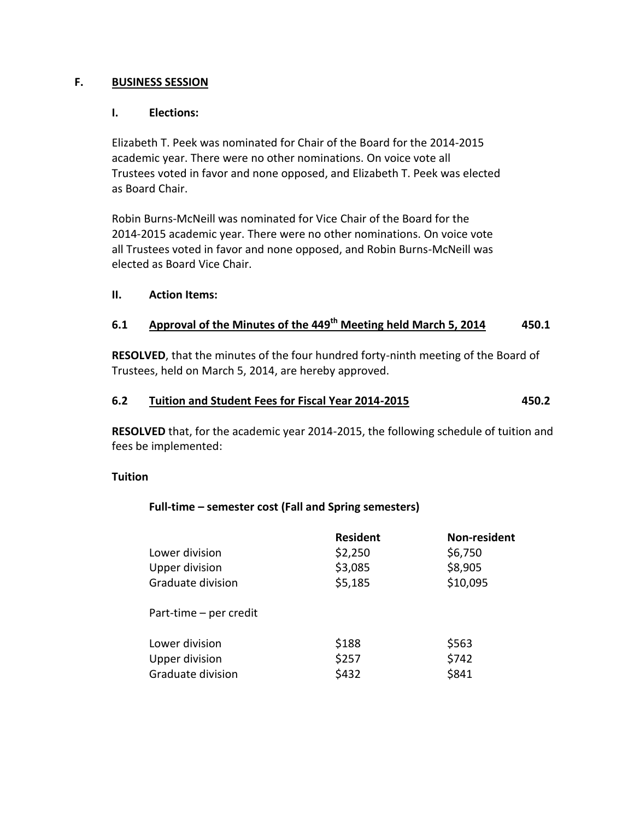## **F. BUSINESS SESSION**

## **I. Elections:**

Elizabeth T. Peek was nominated for Chair of the Board for the 2014-2015 academic year. There were no other nominations. On voice vote all Trustees voted in favor and none opposed, and Elizabeth T. Peek was elected as Board Chair.

Robin Burns-McNeill was nominated for Vice Chair of the Board for the 2014-2015 academic year. There were no other nominations. On voice vote all Trustees voted in favor and none opposed, and Robin Burns-McNeill was elected as Board Vice Chair.

## **II. Action Items:**

# **6.1 Approval of the Minutes of the 449 th Meeting held March 5, 2014 450.1**

**RESOLVED**, that the minutes of the four hundred forty-ninth meeting of the Board of Trustees, held on March 5, 2014, are hereby approved.

## **6.2 Tuition and Student Fees for Fiscal Year 2014-2015 450.2**

**RESOLVED** that, for the academic year 2014-2015, the following schedule of tuition and fees be implemented:

## **Tuition**

## **Full-time – semester cost (Fall and Spring semesters)**

| Lower division<br><b>Upper division</b><br>Graduate division | <b>Resident</b><br>\$2,250<br>\$3,085<br>\$5,185 | Non-resident<br>\$6,750<br>\$8,905<br>\$10,095 |
|--------------------------------------------------------------|--------------------------------------------------|------------------------------------------------|
| Part-time - per credit                                       |                                                  |                                                |
| Lower division<br><b>Upper division</b><br>Graduate division | \$188<br>\$257<br>\$432                          | \$563<br>\$742<br>\$841                        |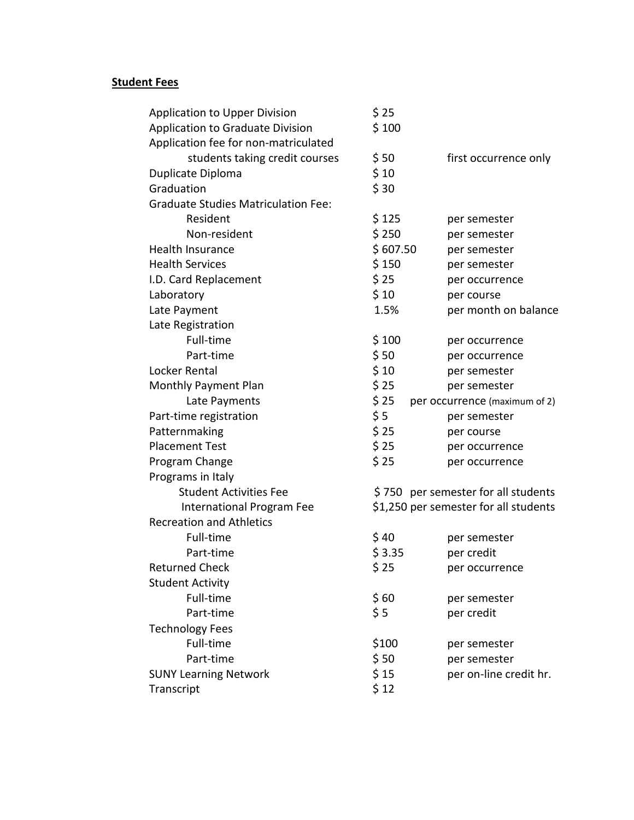# **Student Fees**

| <b>Application to Upper Division</b>       | \$25                                  |                               |
|--------------------------------------------|---------------------------------------|-------------------------------|
| <b>Application to Graduate Division</b>    | \$100                                 |                               |
| Application fee for non-matriculated       |                                       |                               |
| students taking credit courses             | \$50                                  | first occurrence only         |
| Duplicate Diploma                          | \$10                                  |                               |
| Graduation                                 | \$30                                  |                               |
| <b>Graduate Studies Matriculation Fee:</b> |                                       |                               |
| Resident                                   | \$125                                 | per semester                  |
| Non-resident                               | \$250                                 | per semester                  |
| <b>Health Insurance</b>                    | \$607.50                              | per semester                  |
| <b>Health Services</b>                     | \$150                                 | per semester                  |
| I.D. Card Replacement                      | \$25                                  | per occurrence                |
| Laboratory                                 | \$10                                  | per course                    |
| Late Payment                               | 1.5%                                  | per month on balance          |
| Late Registration                          |                                       |                               |
| Full-time                                  | \$100                                 | per occurrence                |
| Part-time                                  | \$50                                  | per occurrence                |
| Locker Rental                              | \$10                                  | per semester                  |
| Monthly Payment Plan                       | \$25                                  | per semester                  |
| Late Payments                              | \$25                                  | per occurrence (maximum of 2) |
| Part-time registration                     | \$5                                   | per semester                  |
| Patternmaking                              | \$25                                  | per course                    |
| <b>Placement Test</b>                      | \$25                                  | per occurrence                |
| Program Change                             | \$25                                  | per occurrence                |
| Programs in Italy                          |                                       |                               |
| <b>Student Activities Fee</b>              | \$750 per semester for all students   |                               |
| International Program Fee                  | \$1,250 per semester for all students |                               |
| <b>Recreation and Athletics</b>            |                                       |                               |
| Full-time                                  | \$40                                  | per semester                  |
| Part-time                                  | \$3.35                                | per credit                    |
| <b>Returned Check</b>                      | \$25                                  | per occurrence                |
| <b>Student Activity</b>                    |                                       |                               |
| Full-time                                  | \$60                                  | per semester                  |
| Part-time                                  | \$5                                   | per credit                    |
| <b>Technology Fees</b>                     |                                       |                               |
| Full-time                                  | \$100                                 | per semester                  |
| Part-time                                  | \$50                                  | per semester                  |
| <b>SUNY Learning Network</b>               | \$15                                  | per on-line credit hr.        |
| Transcript                                 | \$12                                  |                               |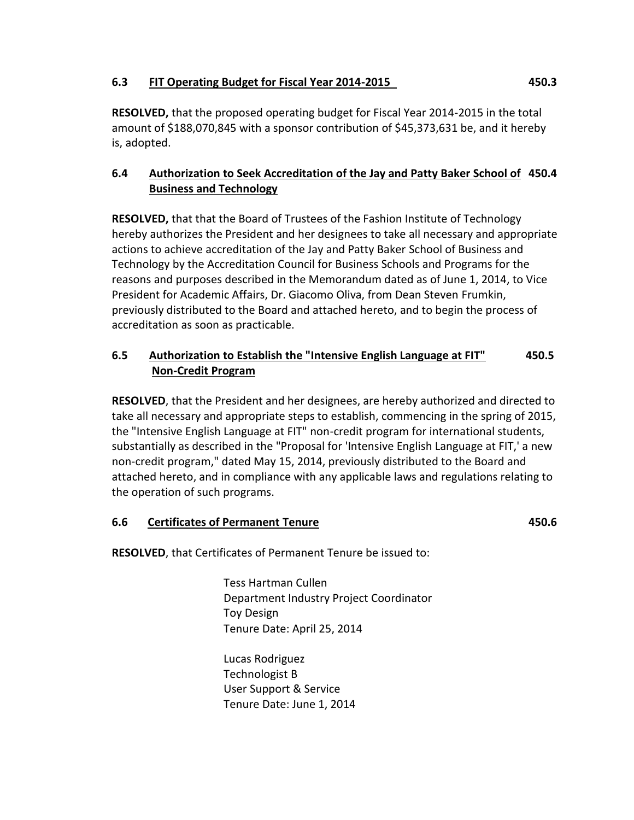## **6.3 FIT Operating Budget for Fiscal Year 2014-2015 450.3**

# **6.4 Authorization to Seek Accreditation of the Jay and Patty Baker School of 450.4 Business and Technology**

**RESOLVED,** that that the Board of Trustees of the Fashion Institute of Technology hereby authorizes the President and her designees to take all necessary and appropriate actions to achieve accreditation of the Jay and Patty Baker School of Business and Technology by the Accreditation Council for Business Schools and Programs for the reasons and purposes described in the Memorandum dated as of June 1, 2014, to Vice President for Academic Affairs, Dr. Giacomo Oliva, from Dean Steven Frumkin, previously distributed to the Board and attached hereto, and to begin the process of accreditation as soon as practicable.

# **6.5 Authorization to Establish the "Intensive English Language at FIT" 450.5 Non-Credit Program**

**RESOLVED**, that the President and her designees, are hereby authorized and directed to take all necessary and appropriate steps to establish, commencing in the spring of 2015, the "Intensive English Language at FIT" non-credit program for international students, substantially as described in the "Proposal for 'Intensive English Language at FIT,' a new non-credit program," dated May 15, 2014, previously distributed to the Board and attached hereto, and in compliance with any applicable laws and regulations relating to the operation of such programs.

## **6.6 Certificates of Permanent Tenure 450.6**

**RESOLVED**, that Certificates of Permanent Tenure be issued to:

Tess Hartman Cullen Department Industry Project Coordinator Toy Design Tenure Date: April 25, 2014

Lucas Rodriguez Technologist B User Support & Service Tenure Date: June 1, 2014